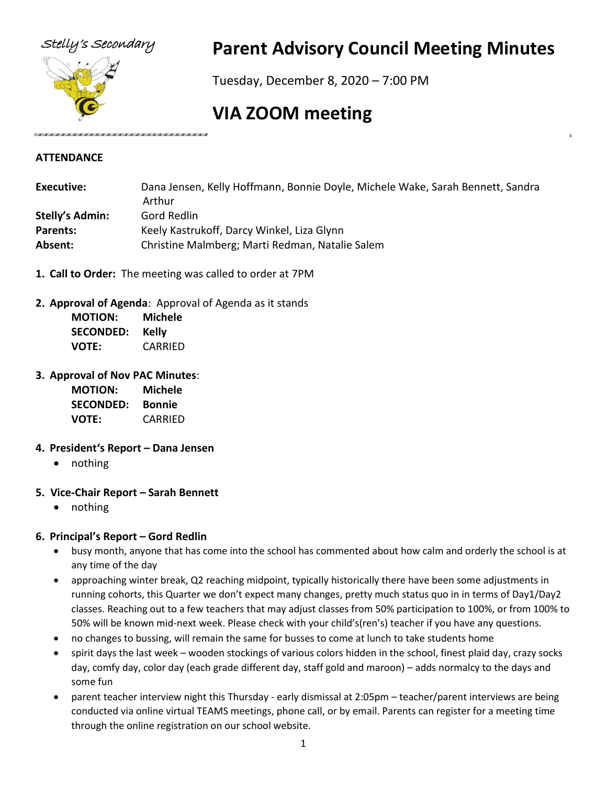

# Stelly's Secondary **Parent Advisory Council Meeting Minutes**

Tuesday, December 8, 2020 – 7:00 PM

# **VIA ZOOM meeting**

#### **ATTENDANCE**

| Executive:             | Dana Jensen, Kelly Hoffmann, Bonnie Doyle, Michele Wake, Sarah Bennett, Sandra |  |
|------------------------|--------------------------------------------------------------------------------|--|
|                        | Arthur                                                                         |  |
| <b>Stelly's Admin:</b> | Gord Redlin                                                                    |  |
| Parents:               | Keely Kastrukoff, Darcy Winkel, Liza Glynn                                     |  |
| Absent:                | Christine Malmberg; Marti Redman, Natalie Salem                                |  |

- **1. Call to Order:** The meeting was called to order at 7PM
- **2. Approval of Agenda**: Approval of Agenda as it stands

| <b>MOTION:</b>   | <b>Michele</b> |
|------------------|----------------|
| <b>SECONDED:</b> | Kelly          |
| <b>VOTE:</b>     | CARRIED        |

**3. Approval of Nov PAC Minutes**:

| <b>MOTION:</b>   | Michele       |
|------------------|---------------|
| <b>SECONDED:</b> | <b>Bonnie</b> |
| <b>VOTE:</b>     | CARRIED       |

#### **4. President's Report – Dana Jensen**

- nothing
- **5. Vice-Chair Report – Sarah Bennett**
	- nothing

#### **6. Principal's Report – Gord Redlin**

- busy month, anyone that has come into the school has commented about how calm and orderly the school is at any time of the day
- approaching winter break, Q2 reaching midpoint, typically historically there have been some adjustments in running cohorts, this Quarter we don't expect many changes, pretty much status quo in in terms of Day1/Day2 classes. Reaching out to a few teachers that may adjust classes from 50% participation to 100%, or from 100% to 50% will be known mid-next week. Please check with your child's(ren's) teacher if you have any questions.
- no changes to bussing, will remain the same for busses to come at lunch to take students home
- spirit days the last week wooden stockings of various colors hidden in the school, finest plaid day, crazy socks day, comfy day, color day (each grade different day, staff gold and maroon) – adds normalcy to the days and some fun
- parent teacher interview night this Thursday early dismissal at 2:05pm teacher/parent interviews are being conducted via online virtual TEAMS meetings, phone call, or by email. Parents can register for a meeting time through the online registration on our school website.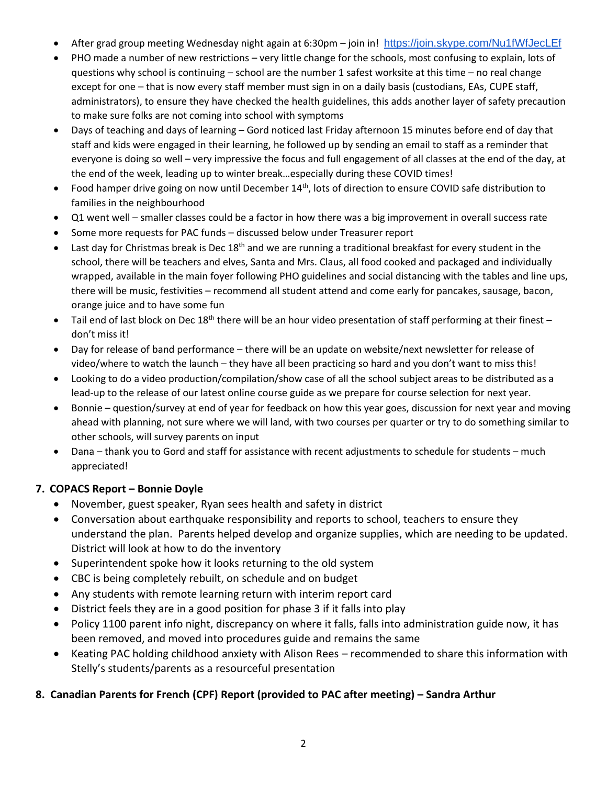- After grad group meeting Wednesday night again at 6:30pm join in! <https://join.skype.com/Nu1fWfJecLEf>
- PHO made a number of new restrictions very little change for the schools, most confusing to explain, lots of questions why school is continuing – school are the number 1 safest worksite at this time – no real change except for one – that is now every staff member must sign in on a daily basis (custodians, EAs, CUPE staff, administrators), to ensure they have checked the health guidelines, this adds another layer of safety precaution to make sure folks are not coming into school with symptoms
- Days of teaching and days of learning Gord noticed last Friday afternoon 15 minutes before end of day that staff and kids were engaged in their learning, he followed up by sending an email to staff as a reminder that everyone is doing so well – very impressive the focus and full engagement of all classes at the end of the day, at the end of the week, leading up to winter break…especially during these COVID times!
- Food hamper drive going on now until December 14<sup>th</sup>, lots of direction to ensure COVID safe distribution to families in the neighbourhood
- Q1 went well smaller classes could be a factor in how there was a big improvement in overall success rate
- Some more requests for PAC funds discussed below under Treasurer report
- Last day for Christmas break is Dec  $18<sup>th</sup>$  and we are running a traditional breakfast for every student in the school, there will be teachers and elves, Santa and Mrs. Claus, all food cooked and packaged and individually wrapped, available in the main foyer following PHO guidelines and social distancing with the tables and line ups, there will be music, festivities – recommend all student attend and come early for pancakes, sausage, bacon, orange juice and to have some fun
- Tail end of last block on Dec  $18<sup>th</sup>$  there will be an hour video presentation of staff performing at their finest don't miss it!
- Day for release of band performance there will be an update on website/next newsletter for release of video/where to watch the launch – they have all been practicing so hard and you don't want to miss this!
- Looking to do a video production/compilation/show case of all the school subject areas to be distributed as a lead-up to the release of our latest online course guide as we prepare for course selection for next year.
- Bonnie question/survey at end of year for feedback on how this year goes, discussion for next year and moving ahead with planning, not sure where we will land, with two courses per quarter or try to do something similar to other schools, will survey parents on input
- Dana thank you to Gord and staff for assistance with recent adjustments to schedule for students much appreciated!

### **7. COPACS Report – Bonnie Doyle**

- November, guest speaker, Ryan sees health and safety in district
- Conversation about earthquake responsibility and reports to school, teachers to ensure they understand the plan. Parents helped develop and organize supplies, which are needing to be updated. District will look at how to do the inventory
- Superintendent spoke how it looks returning to the old system
- CBC is being completely rebuilt, on schedule and on budget
- Any students with remote learning return with interim report card
- District feels they are in a good position for phase 3 if it falls into play
- Policy 1100 parent info night, discrepancy on where it falls, falls into administration guide now, it has been removed, and moved into procedures guide and remains the same
- Keating PAC holding childhood anxiety with Alison Rees recommended to share this information with Stelly's students/parents as a resourceful presentation

## **8. Canadian Parents for French (CPF) Report (provided to PAC after meeting) – Sandra Arthur**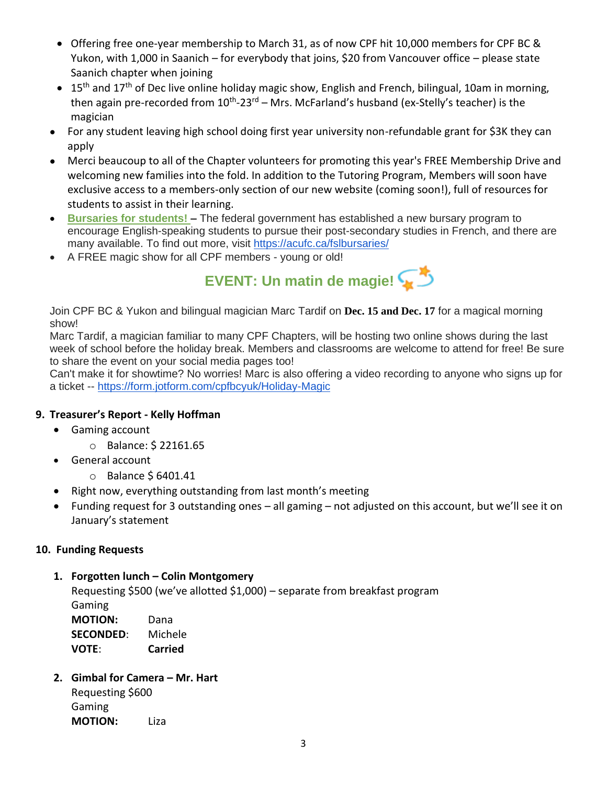- Offering free one-year membership to March 31, as of now CPF hit 10,000 members for CPF BC & Yukon, with 1,000 in Saanich – for everybody that joins, \$20 from Vancouver office – please state Saanich chapter when joining
- 15<sup>th</sup> and 17<sup>th</sup> of Dec live online holiday magic show, English and French, bilingual, 10am in morning, then again pre-recorded from 10<sup>th</sup>-23<sup>rd</sup> – Mrs. McFarland's husband (ex-Stelly's teacher) is the magician
- For any student leaving high school doing first year university non-refundable grant for \$3K they can apply
- Merci beaucoup to all of the Chapter volunteers for promoting this year's FREE Membership Drive and welcoming new families into the fold. In addition to the Tutoring Program, Members will soon have exclusive access to a members-only section of our new website (coming soon!), full of resources for students to assist in their learning.
- **[Bursaries for students!](https://cpf.cmail19.com/t/j-l-aththut-gouikrid-w/) [–](https://cpf.cmail19.com/t/j-l-aththut-gouikrid-yd/)** The federal government has established a new bursary program to encourage English-speaking students to pursue their post-secondary studies in French, and there are many available. To find out more, visit <https://acufc.ca/fslbursaries/>
- A FREE magic show for all CPF members young or old!



Join CPF BC & Yukon and bilingual magician Marc Tardif on **Dec. 15 and Dec. 17** for a magical morning show!

[Marc Tardif,](https://cpf.cmail19.com/t/j-l-aththut-gouikrid-t/) a magician familiar to many CPF Chapters, will be hosting two online shows during the last week of school before the holiday break. Members and classrooms are welcome to attend for free! Be sure to share the event on your social media pages too!

Can't make it for showtime? No worries! Marc is also offering a video recording to anyone who signs up for a ticket -- <https://form.jotform.com/cpfbcyuk/Holiday-Magic>

#### **9. Treasurer's Report - Kelly Hoffman**

- Gaming account
	- o Balance: \$ 22161.65
- General account
	- o Balance \$ 6401.41
- Right now, everything outstanding from last month's meeting
- Funding request for 3 outstanding ones all gaming not adjusted on this account, but we'll see it on January's statement

#### **10. Funding Requests**

#### **1. Forgotten lunch – Colin Montgomery**

Requesting \$500 (we've allotted \$1,000) – separate from breakfast program Gaming **MOTION:** Dana **SECONDED**: Michele **VOTE**: **Carried**

## **2. Gimbal for Camera – Mr. Hart**

Requesting \$600 Gaming **MOTION:** Liza